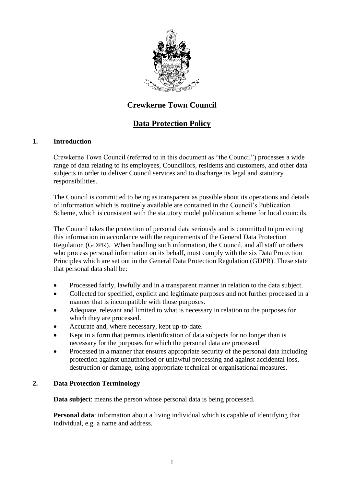

# **Crewkerne Town Council**

## **Data Protection Policy**

## **1. Introduction**

Crewkerne Town Council (referred to in this document as "the Council") processes a wide range of data relating to its employees, Councillors, residents and customers, and other data subjects in order to deliver Council services and to discharge its legal and statutory responsibilities.

The Council is committed to being as transparent as possible about its operations and details of information which is routinely available are contained in the Council's Publication Scheme, which is consistent with the statutory model publication scheme for local councils.

The Council takes the protection of personal data seriously and is committed to protecting this information in accordance with the requirements of the General Data Protection Regulation (GDPR). When handling such information, the Council, and all staff or others who process personal information on its behalf, must comply with the six Data Protection Principles which are set out in the General Data Protection Regulation (GDPR). These state that personal data shall be:

- Processed fairly, lawfully and in a transparent manner in relation to the data subject.
- Collected for specified, explicit and legitimate purposes and not further processed in a manner that is incompatible with those purposes.
- Adequate, relevant and limited to what is necessary in relation to the purposes for which they are processed.
- Accurate and, where necessary, kept up-to-date.
- Kept in a form that permits identification of data subjects for no longer than is necessary for the purposes for which the personal data are processed
- Processed in a manner that ensures appropriate security of the personal data including protection against unauthorised or unlawful processing and against accidental loss, destruction or damage, using appropriate technical or organisational measures.

## **2. Data Protection Terminology**

**Data subject**: means the person whose personal data is being processed.

**Personal data**: information about a living individual which is capable of identifying that individual, e.g. a name and address.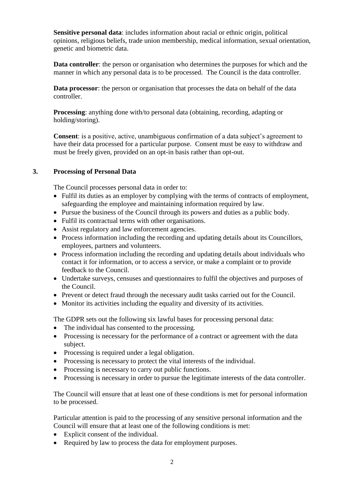**Sensitive personal data**: includes information about racial or ethnic origin, political opinions, religious beliefs, trade union membership, medical information, sexual orientation, genetic and biometric data.

**Data controller**: the person or organisation who determines the purposes for which and the manner in which any personal data is to be processed. The Council is the data controller.

**Data processor**: the person or organisation that processes the data on behalf of the data controller.

**Processing**: anything done with/to personal data (obtaining, recording, adapting or holding/storing).

**Consent**: is a positive, active, unambiguous confirmation of a data subject's agreement to have their data processed for a particular purpose. Consent must be easy to withdraw and must be freely given, provided on an opt-in basis rather than opt-out.

#### **3. Processing of Personal Data**

The Council processes personal data in order to:

- Fulfil its duties as an employer by complying with the terms of contracts of employment, safeguarding the employee and maintaining information required by law.
- Pursue the business of the Council through its powers and duties as a public body.
- Fulfil its contractual terms with other organisations.
- Assist regulatory and law enforcement agencies.
- Process information including the recording and updating details about its Councillors, employees, partners and volunteers.
- Process information including the recording and updating details about individuals who contact it for information, or to access a service, or make a complaint or to provide feedback to the Council.
- Undertake surveys, censuses and questionnaires to fulfil the objectives and purposes of the Council.
- Prevent or detect fraud through the necessary audit tasks carried out for the Council.
- Monitor its activities including the equality and diversity of its activities.

The GDPR sets out the following six lawful bases for processing personal data:

- The individual has consented to the processing.
- Processing is necessary for the performance of a contract or agreement with the data subject.
- Processing is required under a legal obligation.
- Processing is necessary to protect the vital interests of the individual.
- Processing is necessary to carry out public functions.
- Processing is necessary in order to pursue the legitimate interests of the data controller.

The Council will ensure that at least one of these conditions is met for personal information to be processed.

Particular attention is paid to the processing of any sensitive personal information and the Council will ensure that at least one of the following conditions is met:

- Explicit consent of the individual.
- Required by law to process the data for employment purposes.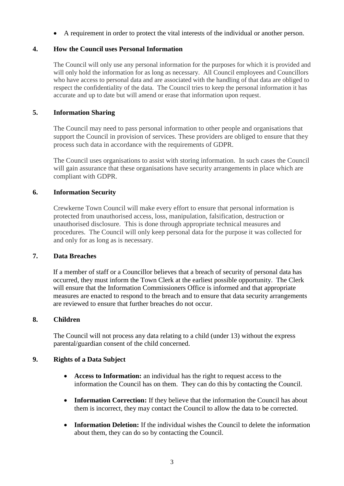• A requirement in order to protect the vital interests of the individual or another person.

#### **4. How the Council uses Personal Information**

The Council will only use any personal information for the purposes for which it is provided and will only hold the information for as long as necessary. All Council employees and Councillors who have access to personal data and are associated with the handling of that data are obliged to respect the confidentiality of the data. The Council tries to keep the personal information it has accurate and up to date but will amend or erase that information upon request.

## **5. Information Sharing**

The Council may need to pass personal information to other people and organisations that support the Council in provision of services. These providers are obliged to ensure that they process such data in accordance with the requirements of GDPR.

The Council uses organisations to assist with storing information. In such cases the Council will gain assurance that these organisations have security arrangements in place which are compliant with GDPR.

#### **6. Information Security**

Crewkerne Town Council will make every effort to ensure that personal information is protected from unauthorised access, loss, manipulation, falsification, destruction or unauthorised disclosure. This is done through appropriate technical measures and procedures. The Council will only keep personal data for the purpose it was collected for and only for as long as is necessary.

## **7. Data Breaches**

If a member of staff or a Councillor believes that a breach of security of personal data has occurred, they must inform the Town Clerk at the earliest possible opportunity. The Clerk will ensure that the Information Commissioners Office is informed and that appropriate measures are enacted to respond to the breach and to ensure that data security arrangements are reviewed to ensure that further breaches do not occur.

#### **8. Children**

The Council will not process any data relating to a child (under 13) without the express parental/guardian consent of the child concerned.

#### **9. Rights of a Data Subject**

- **Access to Information:** an individual has the right to request access to the information the Council has on them. They can do this by contacting the Council.
- **Information Correction:** If they believe that the information the Council has about them is incorrect, they may contact the Council to allow the data to be corrected.
- **Information Deletion:** If the individual wishes the Council to delete the information about them, they can do so by contacting the Council.